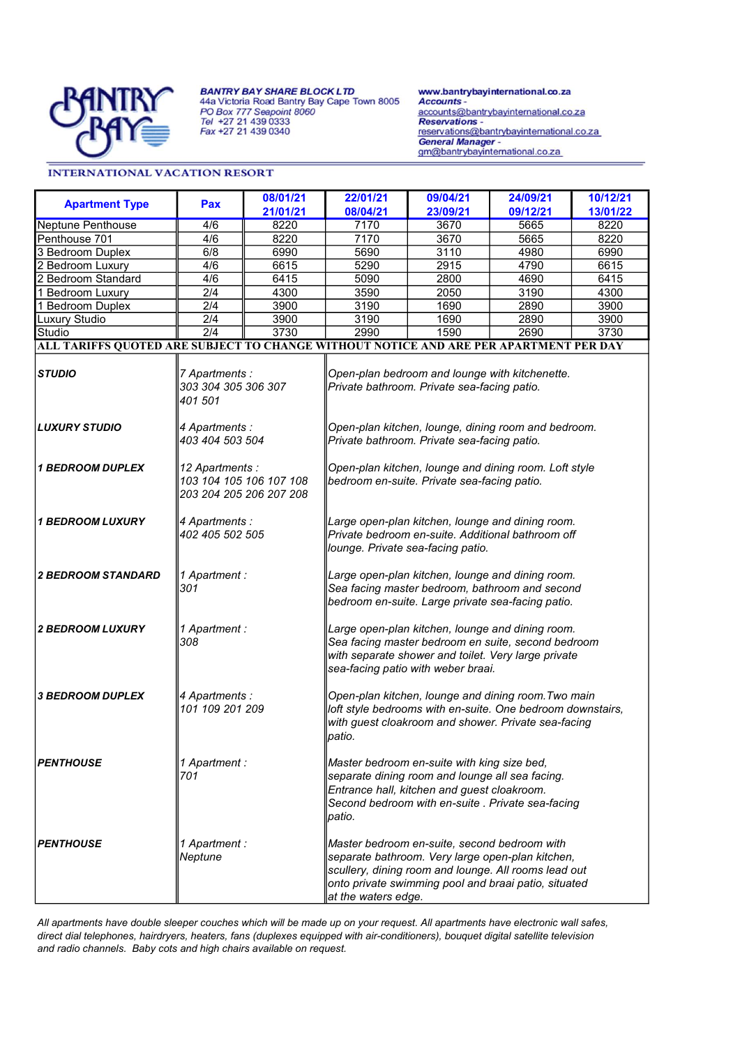

**BANTRY BAY SHARE BLOCK LTD** 

44a Victoria Road Bantry Bay Cape Town 8005 PO Box 777 Seapoint 8060<br>Tel +27 21 439 0333<br>Fax +27 21 439 0340

www.bantrybayinternational.co.za<br>Accounts accounts@bantrybayinternational.co.za **Reservations** reservations@bantrybayinternational.co.za General Manager -<br>gm@bantrybayinternational.co.za

## **INTERNATIONAL VACATION RESORT**

| <b>Apartment Type</b>                                                                 | Pax                                                                   | 08/01/21 | 22/01/21                                                                                                                                                                                                                                | 09/04/21 | 24/09/21 | 10/12/21 |  |  |  |  |
|---------------------------------------------------------------------------------------|-----------------------------------------------------------------------|----------|-----------------------------------------------------------------------------------------------------------------------------------------------------------------------------------------------------------------------------------------|----------|----------|----------|--|--|--|--|
|                                                                                       |                                                                       | 21/01/21 | 08/04/21                                                                                                                                                                                                                                | 23/09/21 | 09/12/21 | 13/01/22 |  |  |  |  |
| Neptune Penthouse                                                                     | 4/6                                                                   | 8220     | 7170                                                                                                                                                                                                                                    | 3670     | 5665     | 8220     |  |  |  |  |
| Penthouse 701                                                                         | 4/6                                                                   | 8220     | 7170                                                                                                                                                                                                                                    | 3670     | 5665     | 8220     |  |  |  |  |
| 3 Bedroom Duplex                                                                      | 6/8                                                                   | 6990     | 5690                                                                                                                                                                                                                                    | 3110     | 4980     | 6990     |  |  |  |  |
| 2 Bedroom Luxury                                                                      | $\overline{4/6}$                                                      | 6615     | 5290                                                                                                                                                                                                                                    | 2915     | 4790     | 6615     |  |  |  |  |
| 2 Bedroom Standard                                                                    | 4/6                                                                   | 6415     | 5090                                                                                                                                                                                                                                    | 2800     | 4690     | 6415     |  |  |  |  |
| 1 Bedroom Luxury                                                                      | $\overline{2/4}$                                                      | 4300     | 3590                                                                                                                                                                                                                                    | 2050     | 3190     | 4300     |  |  |  |  |
| 1 Bedroom Duplex                                                                      | 2/4                                                                   | 3900     | 3190                                                                                                                                                                                                                                    | 1690     | 2890     | 3900     |  |  |  |  |
| Luxury Studio                                                                         | $\overline{2/4}$                                                      | 3900     | 3190                                                                                                                                                                                                                                    | 1690     | 2890     | 3900     |  |  |  |  |
| Studio                                                                                | $\overline{2/4}$                                                      | 3730     | 2990                                                                                                                                                                                                                                    | 1590     | 2690     | 3730     |  |  |  |  |
| ALL TARIFFS QUOTED ARE SUBJECT TO CHANGE WITHOUT NOTICE AND ARE PER APARTMENT PER DAY |                                                                       |          |                                                                                                                                                                                                                                         |          |          |          |  |  |  |  |
| <b>STUDIO</b>                                                                         | 7 Apartments :<br>303 304 305 306 307<br>401 501                      |          | Open-plan bedroom and lounge with kitchenette.<br>Private bathroom. Private sea-facing patio.                                                                                                                                           |          |          |          |  |  |  |  |
| <b>LUXURY STUDIO</b>                                                                  | 4 Apartments :<br>403 404 503 504                                     |          | Open-plan kitchen, lounge, dining room and bedroom.<br>Private bathroom. Private sea-facing patio.                                                                                                                                      |          |          |          |  |  |  |  |
| <b>1 BEDROOM DUPLEX</b>                                                               | 12 Apartments :<br>103 104 105 106 107 108<br>203 204 205 206 207 208 |          | Open-plan kitchen, lounge and dining room. Loft style<br>bedroom en-suite. Private sea-facing patio.                                                                                                                                    |          |          |          |  |  |  |  |
| <b>1 BEDROOM LUXURY</b>                                                               | 4 Apartments :<br>402 405 502 505                                     |          | Large open-plan kitchen, lounge and dining room.<br>Private bedroom en-suite. Additional bathroom off<br>lounge. Private sea-facing patio.                                                                                              |          |          |          |  |  |  |  |
| <b>2 BEDROOM STANDARD</b>                                                             | 1 Apartment :<br>301                                                  |          | Large open-plan kitchen, lounge and dining room.<br>Sea facing master bedroom, bathroom and second<br>bedroom en-suite. Large private sea-facing patio.                                                                                 |          |          |          |  |  |  |  |
| <b>2 BEDROOM LUXURY</b>                                                               | 1 Apartment :<br>308                                                  |          | Large open-plan kitchen, lounge and dining room.<br>Sea facing master bedroom en suite, second bedroom<br>with separate shower and toilet. Very large private<br>sea-facing patio with weber braai.                                     |          |          |          |  |  |  |  |
| <b>3 BEDROOM DUPLEX</b>                                                               | 4 Apartments :<br>101 109 201 209                                     |          | Open-plan kitchen, lounge and dining room. Two main<br>loft style bedrooms with en-suite. One bedroom downstairs,<br>with guest cloakroom and shower. Private sea-facing<br>patio.                                                      |          |          |          |  |  |  |  |
| <b>PENTHOUSE</b>                                                                      | 1 Apartment :<br>701                                                  |          | Master bedroom en-suite with king size bed,<br>separate dining room and lounge all sea facing.<br>Entrance hall, kitchen and guest cloakroom.<br>Second bedroom with en-suite . Private sea-facing<br>patio.                            |          |          |          |  |  |  |  |
| <b>PENTHOUSE</b>                                                                      | 1 Apartment :<br>Neptune                                              |          | Master bedroom en-suite, second bedroom with<br>separate bathroom. Very large open-plan kitchen,<br>scullery, dining room and lounge. All rooms lead out<br>onto private swimming pool and braai patio, situated<br>at the waters edge. |          |          |          |  |  |  |  |

All apartments have double sleeper couches which will be made up on your request. All apartments have electronic wall safes, direct dial telephones, hairdryers, heaters, fans (duplexes equipped with air-conditioners), bouquet digital satellite television and radio channels. Baby cots and high chairs available on request.